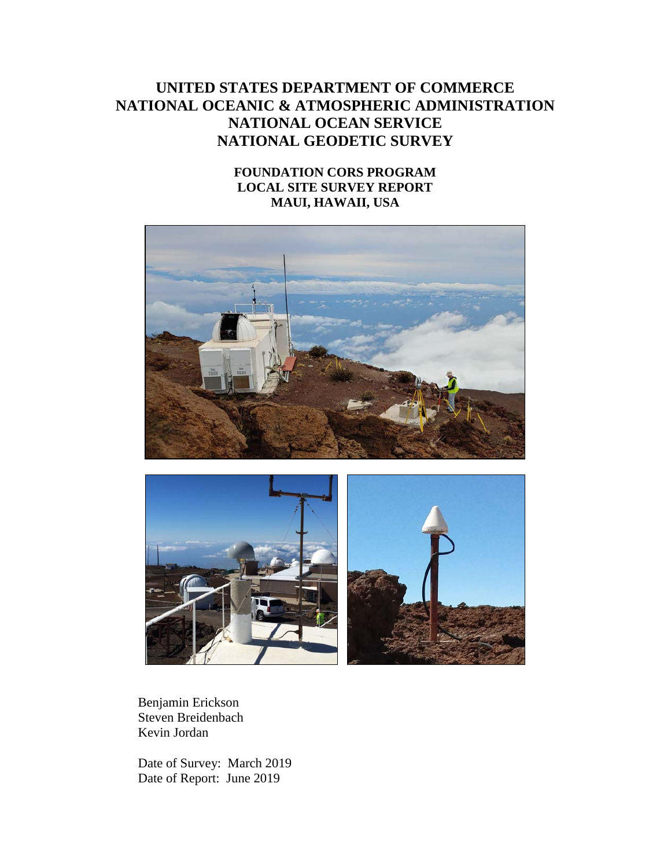# **UNITED STATES DEPARTMENT OF COMMERCE NATIONAL OCEANIC & ATMOSPHERIC ADMINISTRATION NATIONAL OCEAN SERVICE NATIONAL GEODETIC SURVEY**

# **FOUNDATION CORS PROGRAM LOCAL SITE SURVEY REPORT MAUI, HAWAII, USA**





Benjamin Erickson Steven Breidenbach Kevin Jordan

Date of Survey: March 2019 Date of Report: June 2019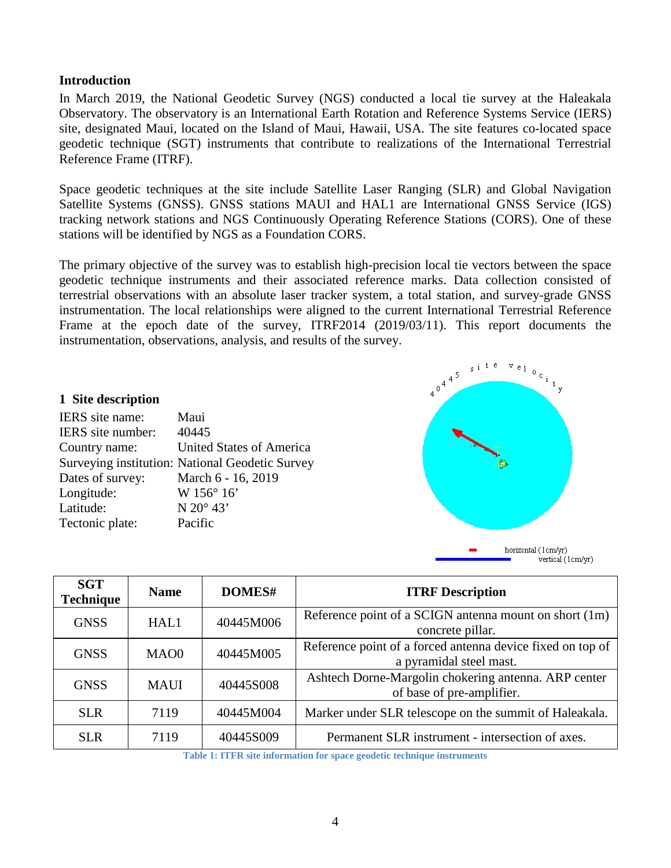## <span id="page-3-0"></span>**Introduction**

In March 2019, the National Geodetic Survey (NGS) conducted a local tie survey at the Haleakala Observatory. The observatory is an International Earth Rotation and Reference Systems Service (IERS) site, designated Maui, located on the Island of Maui, Hawaii, USA. The site features co-located space geodetic technique (SGT) instruments that contribute to realizations of the International Terrestrial Reference Frame (ITRF).

Space geodetic techniques at the site include Satellite Laser Ranging (SLR) and Global Navigation Satellite Systems (GNSS). GNSS stations MAUI and HAL1 are International GNSS Service (IGS) tracking network stations and NGS Continuously Operating Reference Stations (CORS). One of these stations will be identified by NGS as a Foundation CORS.

The primary objective of the survey was to establish high-precision local tie vectors between the space geodetic technique instruments and their associated reference marks. Data collection consisted of terrestrial observations with an absolute laser tracker system, a total station, and survey-grade GNSS instrumentation. The local relationships were aligned to the current International Terrestrial Reference Frame at the epoch date of the survey, ITRF2014 (2019/03/11). This report documents the instrumentation, observations, analysis, and results of the survey.

#### <span id="page-3-1"></span>**1 Site description**

| IERS site name:   | Maui                                            |
|-------------------|-------------------------------------------------|
| IERS site number: | 40445                                           |
| Country name:     | <b>United States of America</b>                 |
|                   | Surveying institution: National Geodetic Survey |
| Dates of survey:  | March 6 - 16, 2019                              |
| Longitude:        | W 156° 16'                                      |
| Latitude:         | N $20^{\circ}$ 43'                              |
| Tectonic plate:   | Pacific                                         |



| <b>SGT</b><br><b>Technique</b>   | DOMES#<br><b>Name</b> |           | <b>ITRF Description</b>                                                               |
|----------------------------------|-----------------------|-----------|---------------------------------------------------------------------------------------|
| <b>GNSS</b><br>40445M006<br>HAL1 |                       |           | Reference point of a SCIGN antenna mount on short (1m)<br>concrete pillar.            |
| <b>GNSS</b><br>MAO0<br>40445M005 |                       |           | Reference point of a forced antenna device fixed on top of<br>a pyramidal steel mast. |
| <b>GNSS</b>                      | <b>MAUI</b>           | 40445S008 | Ashtech Dorne-Margolin chokering antenna. ARP center<br>of base of pre-amplifier.     |
| <b>SLR</b>                       | 7119                  | 40445M004 | Marker under SLR telescope on the summit of Haleakala.                                |
| <b>SLR</b>                       | 7119                  | 40445S009 | Permanent SLR instrument - intersection of axes.                                      |

**Table 1: ITFR site information for space geodetic technique instruments**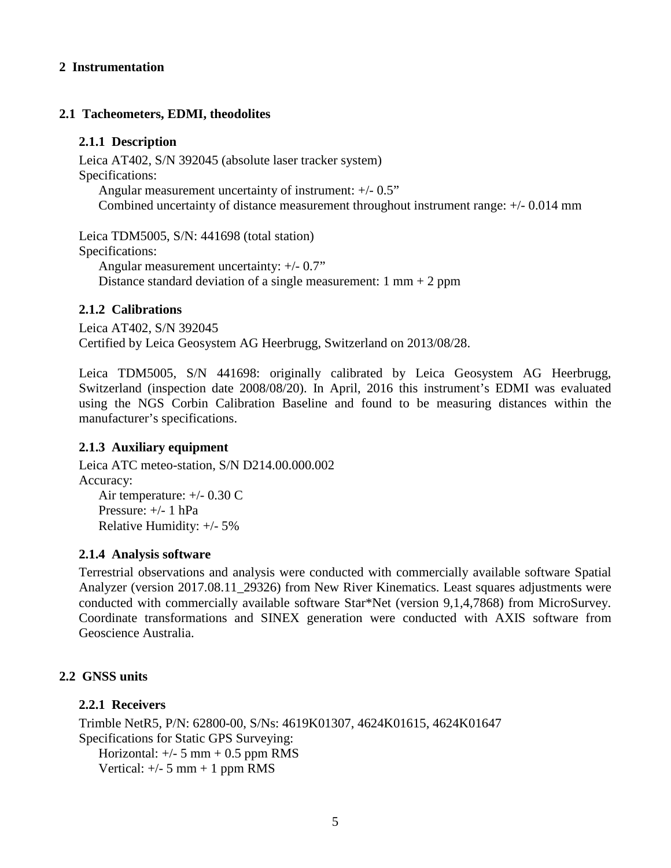## <span id="page-4-0"></span>**2 Instrumentation**

## <span id="page-4-2"></span><span id="page-4-1"></span>**2.1 Tacheometers, EDMI, theodolites**

## **2.1.1 Description**

Leica AT402, S/N 392045 (absolute laser tracker system) Specifications: Angular measurement uncertainty of instrument: +/- 0.5" Combined uncertainty of distance measurement throughout instrument range: +/- 0.014 mm

Leica TDM5005, S/N: 441698 (total station) Specifications: Angular measurement uncertainty: +/- 0.7"

Distance standard deviation of a single measurement:  $1 \text{ mm} + 2 \text{ ppm}$ 

## <span id="page-4-3"></span>**2.1.2 Calibrations**

Leica AT402, S/N 392045 Certified by Leica Geosystem AG Heerbrugg, Switzerland on 2013/08/28.

Leica TDM5005, S/N 441698: originally calibrated by Leica Geosystem AG Heerbrugg, Switzerland (inspection date 2008/08/20). In April, 2016 this instrument's EDMI was evaluated using the NGS Corbin Calibration Baseline and found to be measuring distances within the manufacturer's specifications.

## <span id="page-4-4"></span>**2.1.3 Auxiliary equipment**

Leica ATC meteo-station, S/N D214.00.000.002 Accuracy: Air temperature: +/- 0.30 C Pressure: +/- 1 hPa Relative Humidity: +/- 5%

## <span id="page-4-5"></span>**2.1.4 Analysis software**

Terrestrial observations and analysis were conducted with commercially available software Spatial Analyzer (version 2017.08.11\_29326) from New River Kinematics. Least squares adjustments were conducted with commercially available software Star\*Net (version 9,1,4,7868) from MicroSurvey. Coordinate transformations and SINEX generation were conducted with AXIS software from Geoscience Australia.

## <span id="page-4-7"></span><span id="page-4-6"></span>**2.2 GNSS units**

## **2.2.1 Receivers**

Trimble NetR5, P/N: 62800-00, S/Ns: 4619K01307, 4624K01615, 4624K01647 Specifications for Static GPS Surveying: Horizontal:  $+/- 5$  mm  $+ 0.5$  ppm RMS Vertical:  $+/- 5$  mm  $+ 1$  ppm RMS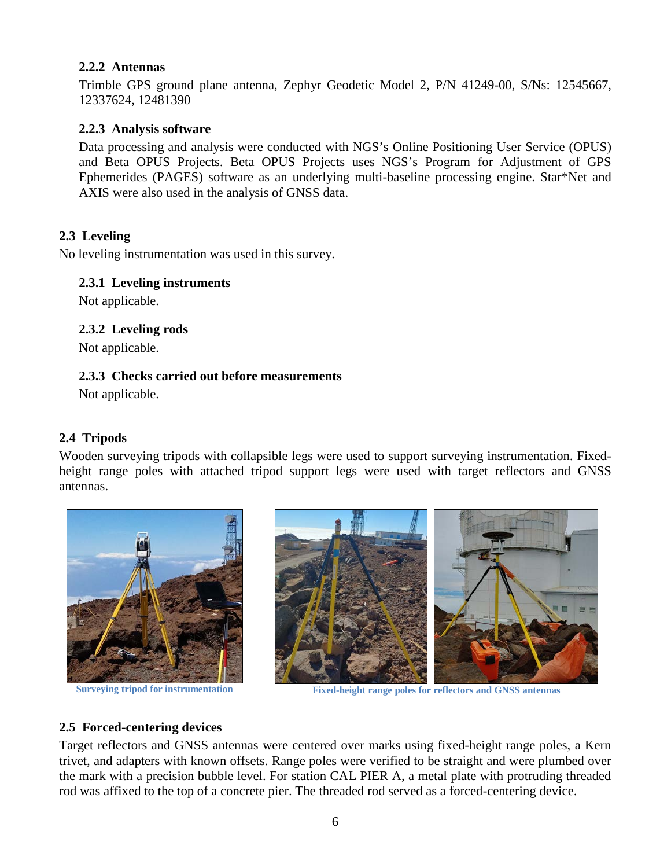## <span id="page-5-0"></span>**2.2.2 Antennas**

Trimble GPS ground plane antenna, Zephyr Geodetic Model 2, P/N 41249-00, S/Ns: 12545667, 12337624, 12481390

## <span id="page-5-1"></span>**2.2.3 Analysis software**

Data processing and analysis were conducted with NGS's Online Positioning User Service (OPUS) and Beta OPUS Projects. Beta OPUS Projects uses NGS's Program for Adjustment of GPS Ephemerides (PAGES) software as an underlying multi-baseline processing engine. Star\*Net and AXIS were also used in the analysis of GNSS data.

## <span id="page-5-2"></span>**2.3 Leveling**

<span id="page-5-3"></span>No leveling instrumentation was used in this survey.

## **2.3.1 Leveling instruments**

<span id="page-5-4"></span>Not applicable.

## **2.3.2 Leveling rods**

Not applicable.

## <span id="page-5-5"></span>**2.3.3 Checks carried out before measurements**

Not applicable.

# <span id="page-5-6"></span>**2.4 Tripods**

Wooden surveying tripods with collapsible legs were used to support surveying instrumentation. Fixedheight range poles with attached tripod support legs were used with target reflectors and GNSS antennas.





**Surveying tripod for instrumentation Fixed-height range poles for reflectors and GNSS antennas**

# <span id="page-5-7"></span>**2.5 Forced-centering devices**

Target reflectors and GNSS antennas were centered over marks using fixed-height range poles, a Kern trivet, and adapters with known offsets. Range poles were verified to be straight and were plumbed over the mark with a precision bubble level. For station CAL PIER A, a metal plate with protruding threaded rod was affixed to the top of a concrete pier. The threaded rod served as a forced-centering device.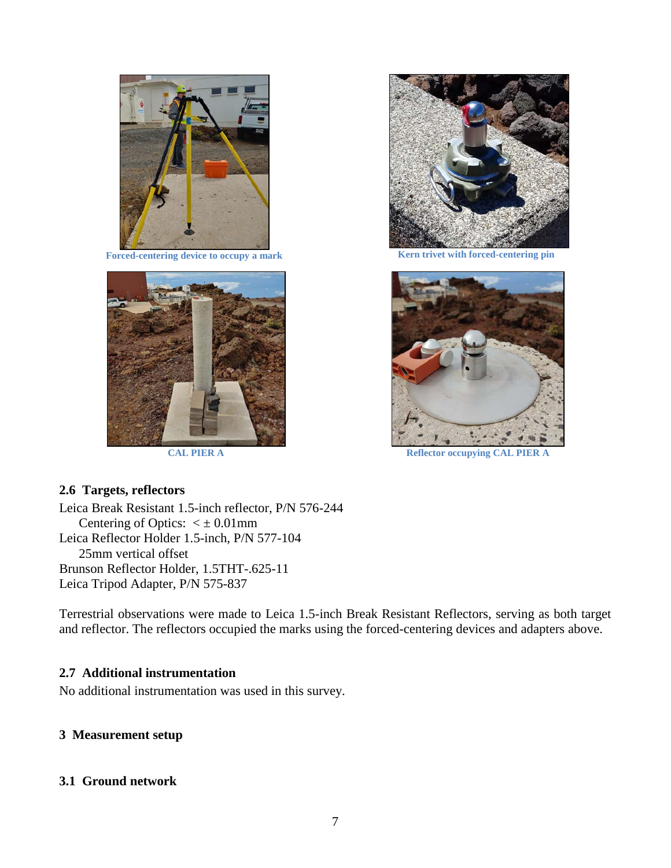

**Forced-centering device to occupy a mark**





**Kern trivet with forced-centering pin**



**CAL PIER A Reflector occupying CAL PIER** 

### <span id="page-6-0"></span>**2.6 Targets, reflectors**

Leica Break Resistant 1.5-inch reflector, P/N 576-244 Centering of Optics:  $\lt \pm 0.01$ mm Leica Reflector Holder 1.5-inch, P/N 577-104 25mm vertical offset Brunson Reflector Holder, 1.5THT-.625-11 Leica Tripod Adapter, P/N 575-837

Terrestrial observations were made to Leica 1.5-inch Break Resistant Reflectors, serving as both target and reflector. The reflectors occupied the marks using the forced-centering devices and adapters above.

### <span id="page-6-1"></span>**2.7 Additional instrumentation**

No additional instrumentation was used in this survey.

### <span id="page-6-2"></span>**3 Measurement setup**

### <span id="page-6-3"></span>**3.1 Ground network**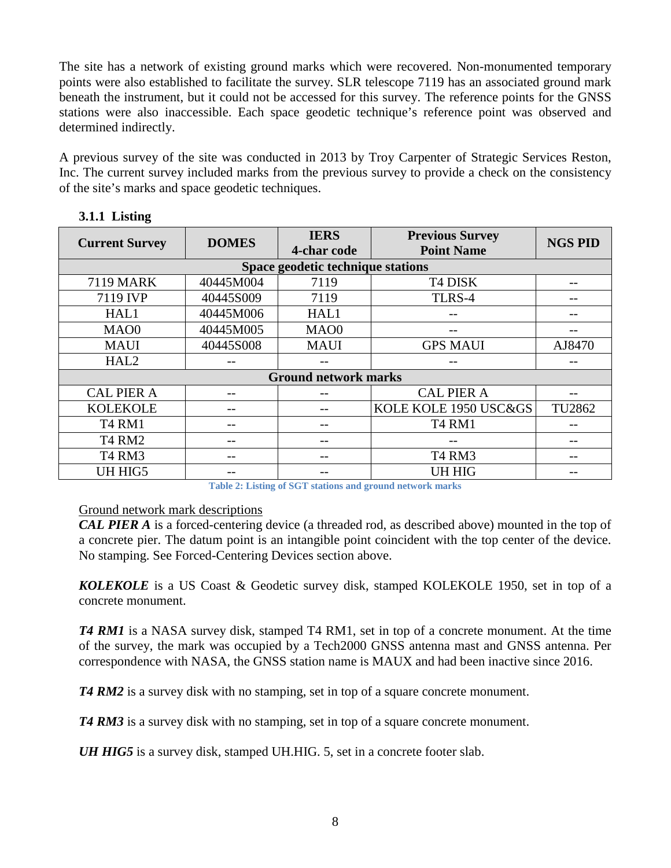The site has a network of existing ground marks which were recovered. Non-monumented temporary points were also established to facilitate the survey. SLR telescope 7119 has an associated ground mark beneath the instrument, but it could not be accessed for this survey. The reference points for the GNSS stations were also inaccessible. Each space geodetic technique's reference point was observed and determined indirectly.

A previous survey of the site was conducted in 2013 by Troy Carpenter of Strategic Services Reston, Inc. The current survey included marks from the previous survey to provide a check on the consistency of the site's marks and space geodetic techniques.

| <b>IERS</b><br><b>DOMES</b><br><b>Current Survey</b><br><b>Point Name</b><br>4-char code |           | <b>Previous Survey</b>      | <b>NGS PID</b>                 |        |  |  |  |
|------------------------------------------------------------------------------------------|-----------|-----------------------------|--------------------------------|--------|--|--|--|
| Space geodetic technique stations                                                        |           |                             |                                |        |  |  |  |
| <b>7119 MARK</b>                                                                         | 40445M004 | 7119                        | T4 DISK                        |        |  |  |  |
| 7119 IVP                                                                                 | 40445S009 | 7119                        | TLRS-4                         |        |  |  |  |
| HAL1                                                                                     | 40445M006 | HAL1                        |                                |        |  |  |  |
| MA <sub>O</sub> 0                                                                        | 40445M005 | MA <sub>O</sub> 0           |                                |        |  |  |  |
| <b>MAUI</b>                                                                              | 40445S008 | <b>MAUI</b>                 | <b>GPS MAUI</b>                | AJ8470 |  |  |  |
| HAL <sub>2</sub>                                                                         |           |                             |                                |        |  |  |  |
|                                                                                          |           | <b>Ground network marks</b> |                                |        |  |  |  |
| <b>CAL PIER A</b>                                                                        |           |                             | <b>CAL PIER A</b>              |        |  |  |  |
| <b>KOLEKOLE</b>                                                                          |           |                             | KOLE KOLE 1950 USC&GS          | TU2862 |  |  |  |
| <b>T4 RM1</b>                                                                            |           |                             | <b>T4 RM1</b>                  |        |  |  |  |
| <b>T4 RM2</b>                                                                            |           |                             |                                |        |  |  |  |
| T <sub>4</sub> RM <sub>3</sub>                                                           |           |                             | T <sub>4</sub> RM <sub>3</sub> |        |  |  |  |
| UH HIG5                                                                                  |           |                             | UH HIG                         |        |  |  |  |

## <span id="page-7-0"></span>**3.1.1 Listing**

**Table 2: Listing of SGT stations and ground network marks**

## Ground network mark descriptions

*CAL PIER A* is a forced-centering device (a threaded rod, as described above) mounted in the top of a concrete pier. The datum point is an intangible point coincident with the top center of the device. No stamping. See Forced-Centering Devices section above.

*KOLEKOLE* is a US Coast & Geodetic survey disk, stamped KOLEKOLE 1950, set in top of a concrete monument.

*T4 RM1* is a NASA survey disk, stamped T4 RM1, set in top of a concrete monument. At the time of the survey, the mark was occupied by a Tech2000 GNSS antenna mast and GNSS antenna. Per correspondence with NASA, the GNSS station name is MAUX and had been inactive since 2016.

*T4 RM2* is a survey disk with no stamping, set in top of a square concrete monument.

*T4 RM3* is a survey disk with no stamping, set in top of a square concrete monument.

<span id="page-7-1"></span>*UH HIG5* is a survey disk, stamped UH.HIG. 5, set in a concrete footer slab.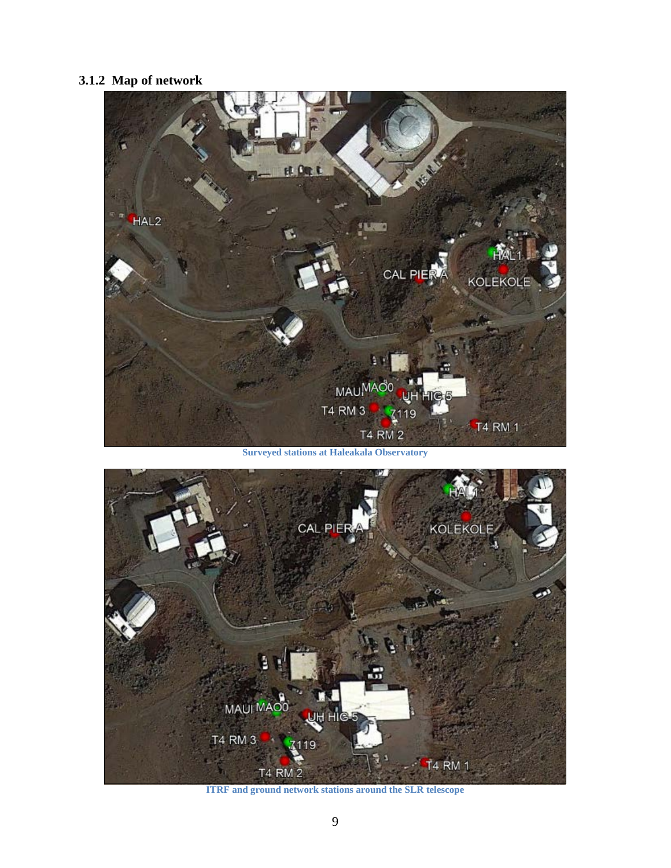# **3.1.2 Map of network**

<span id="page-8-0"></span>

**Surveyed stations at Haleakala Observatory**



**ITRF and ground network stations around the SLR telescope**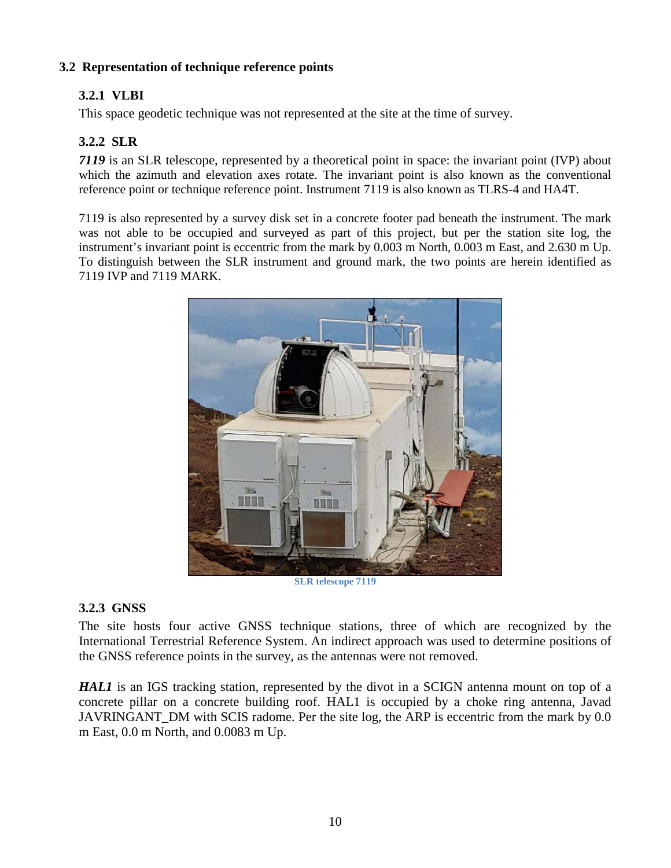# <span id="page-9-0"></span>**3.2 Representation of technique reference points**

# **3.2.1 VLBI**

<span id="page-9-1"></span>This space geodetic technique was not represented at the site at the time of survey.

# **3.2.2 SLR**

<span id="page-9-2"></span>*7119* is an SLR telescope, represented by a theoretical point in space: the invariant point (IVP) about which the azimuth and elevation axes rotate. The invariant point is also known as the conventional reference point or technique reference point. Instrument 7119 is also known as TLRS-4 and HA4T.

7119 is also represented by a survey disk set in a concrete footer pad beneath the instrument. The mark was not able to be occupied and surveyed as part of this project, but per the station site log, the instrument's invariant point is eccentric from the mark by 0.003 m North, 0.003 m East, and 2.630 m Up. To distinguish between the SLR instrument and ground mark, the two points are herein identified as 7119 IVP and 7119 MARK.



**SLR telescope 7119**

# **3.2.3 GNSS**

The site hosts four active GNSS technique stations, three of which are recognized by the International Terrestrial Reference System. An indirect approach was used to determine positions of the GNSS reference points in the survey, as the antennas were not removed.

*HAL1* is an IGS tracking station, represented by the divot in a SCIGN antenna mount on top of a concrete pillar on a concrete building roof. HAL1 is occupied by a choke ring antenna, Javad JAVRINGANT\_DM with SCIS radome. Per the site log, the ARP is eccentric from the mark by 0.0 m East, 0.0 m North, and 0.0083 m Up.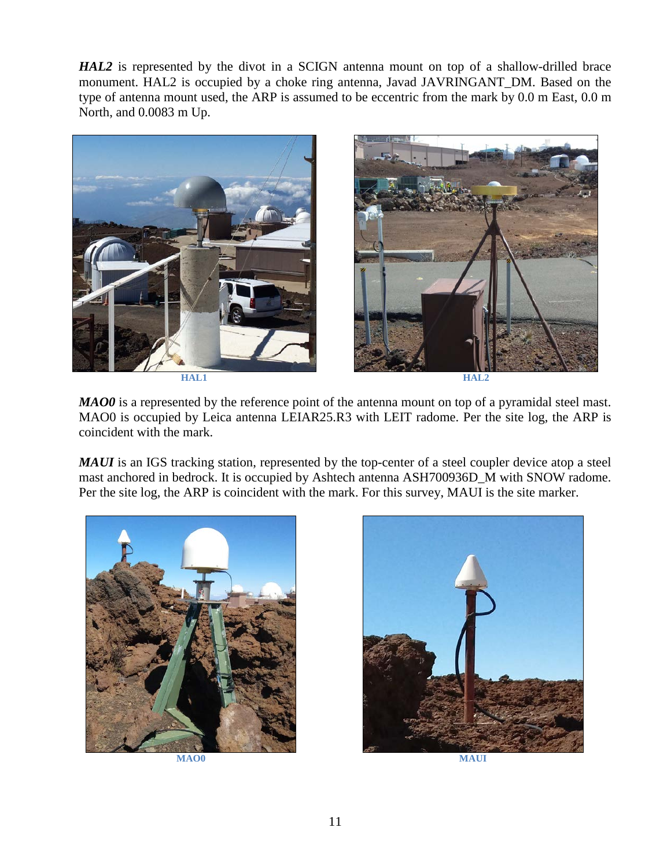*HAL2* is represented by the divot in a SCIGN antenna mount on top of a shallow-drilled brace monument. HAL2 is occupied by a choke ring antenna, Javad JAVRINGANT\_DM. Based on the type of antenna mount used, the ARP is assumed to be eccentric from the mark by 0.0 m East, 0.0 m North, and 0.0083 m Up.



*MAO0* is a represented by the reference point of the antenna mount on top of a pyramidal steel mast. MAO0 is occupied by Leica antenna LEIAR25.R3 with LEIT radome. Per the site log, the ARP is coincident with the mark.

*MAUI* is an IGS tracking station, represented by the top-center of a steel coupler device atop a steel mast anchored in bedrock. It is occupied by Ashtech antenna ASH700936D\_M with SNOW radome. Per the site log, the ARP is coincident with the mark. For this survey, MAUI is the site marker.

<span id="page-10-0"></span>

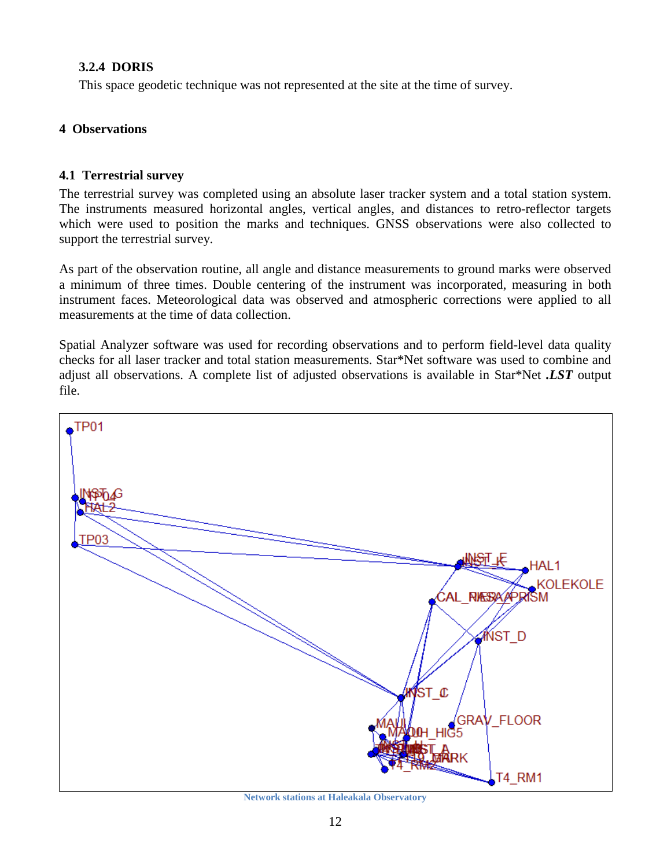## **3.2.4 DORIS**

This space geodetic technique was not represented at the site at the time of survey.

## <span id="page-11-0"></span>**4 Observations**

## <span id="page-11-1"></span>**4.1 Terrestrial survey**

The terrestrial survey was completed using an absolute laser tracker system and a total station system. The instruments measured horizontal angles, vertical angles, and distances to retro-reflector targets which were used to position the marks and techniques. GNSS observations were also collected to support the terrestrial survey.

As part of the observation routine, all angle and distance measurements to ground marks were observed a minimum of three times. Double centering of the instrument was incorporated, measuring in both instrument faces. Meteorological data was observed and atmospheric corrections were applied to all measurements at the time of data collection.

Spatial Analyzer software was used for recording observations and to perform field-level data quality checks for all laser tracker and total station measurements. Star\*Net software was used to combine and adjust all observations. A complete list of adjusted observations is available in Star\*Net *.LST* output file.



**Network stations at Haleakala Observatory**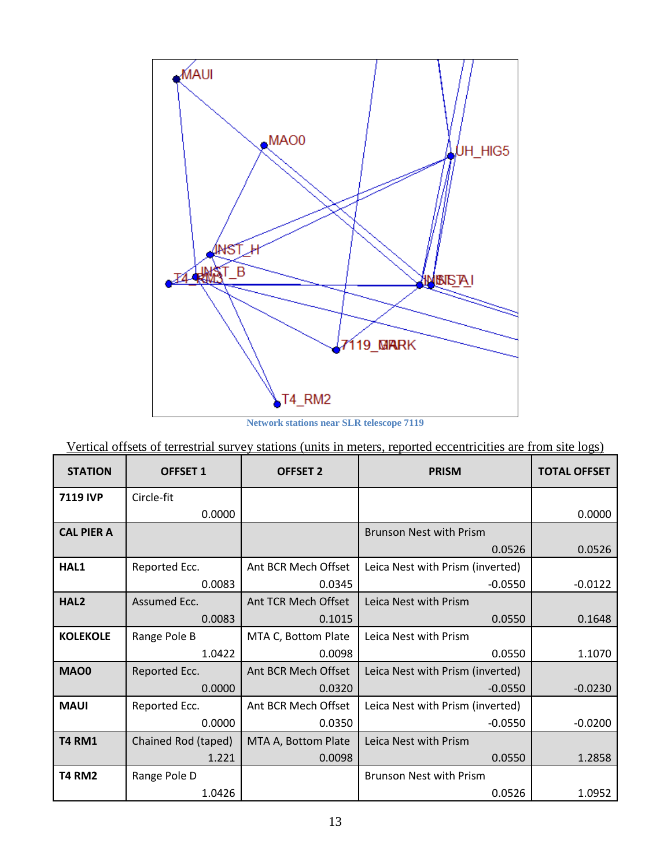

**Network stations near SLR telescope 7119**

<span id="page-12-0"></span>

| Vertical offsets of terrestrial survey stations (units in meters, reported eccentricities are from site logs) |  |
|---------------------------------------------------------------------------------------------------------------|--|
|                                                                                                               |  |

| <b>STATION</b>    | <b>OFFSET 1</b>     | <b>OFFSET 2</b>     | <b>PRISM</b>                     | <b>TOTAL OFFSET</b> |
|-------------------|---------------------|---------------------|----------------------------------|---------------------|
| <b>7119 IVP</b>   | Circle-fit          |                     |                                  |                     |
|                   | 0.0000              |                     |                                  | 0.0000              |
| <b>CAL PIER A</b> |                     |                     | <b>Brunson Nest with Prism</b>   |                     |
|                   |                     |                     | 0.0526                           | 0.0526              |
| HAL1              | Reported Ecc.       | Ant BCR Mech Offset | Leica Nest with Prism (inverted) |                     |
|                   | 0.0083              | 0.0345              | $-0.0550$                        | $-0.0122$           |
| HAL <sub>2</sub>  | Assumed Ecc.        | Ant TCR Mech Offset | Leica Nest with Prism            |                     |
|                   | 0.0083              | 0.1015              | 0.0550                           | 0.1648              |
| <b>KOLEKOLE</b>   | Range Pole B        | MTA C, Bottom Plate | Leica Nest with Prism            |                     |
|                   | 1.0422              | 0.0098              | 0.0550                           | 1.1070              |
| <b>MAO0</b>       | Reported Ecc.       | Ant BCR Mech Offset | Leica Nest with Prism (inverted) |                     |
|                   | 0.0000              | 0.0320              | $-0.0550$                        | $-0.0230$           |
| <b>MAUI</b>       | Reported Ecc.       | Ant BCR Mech Offset | Leica Nest with Prism (inverted) |                     |
|                   | 0.0000              | 0.0350              | $-0.0550$                        | $-0.0200$           |
| <b>T4 RM1</b>     | Chained Rod (taped) | MTA A, Bottom Plate | Leica Nest with Prism            |                     |
|                   | 1.221               | 0.0098              | 0.0550                           | 1.2858              |
| <b>T4 RM2</b>     | Range Pole D        |                     | <b>Brunson Nest with Prism</b>   |                     |
|                   | 1.0426              |                     | 0.0526                           | 1.0952              |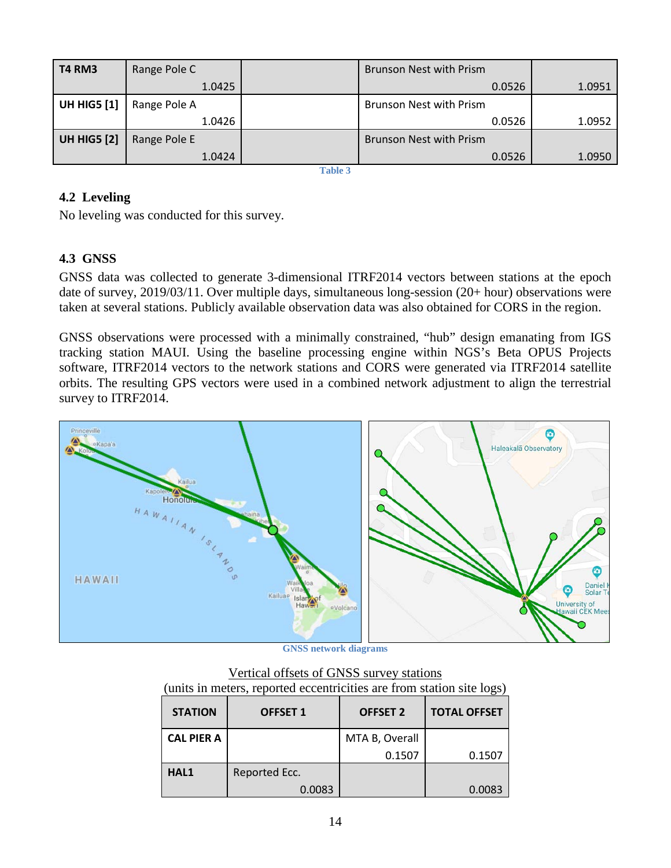| <b>T4 RM3</b>      | Range Pole C | <b>Brunson Nest with Prism</b> |        |
|--------------------|--------------|--------------------------------|--------|
|                    | 1.0425       | 0.0526                         | 1.0951 |
| <b>UH HIG5 [1]</b> | Range Pole A | <b>Brunson Nest with Prism</b> |        |
|                    | 1.0426       | 0.0526                         | 1.0952 |
| <b>UH HIG5 [2]</b> | Range Pole E | <b>Brunson Nest with Prism</b> |        |
|                    | 1.0424       | 0.0526                         | 1.0950 |

**Table 3**

# **4.2 Leveling**

No leveling was conducted for this survey.

# <span id="page-13-0"></span>**4.3 GNSS**

GNSS data was collected to generate 3-dimensional ITRF2014 vectors between stations at the epoch date of survey, 2019/03/11. Over multiple days, simultaneous long-session (20+ hour) observations were taken at several stations. Publicly available observation data was also obtained for CORS in the region.

GNSS observations were processed with a minimally constrained, "hub" design emanating from IGS tracking station MAUI. Using the baseline processing engine within NGS's Beta OPUS Projects software, ITRF2014 vectors to the network stations and CORS were generated via ITRF2014 satellite orbits. The resulting GPS vectors were used in a combined network adjustment to align the terrestrial survey to ITRF2014.



**GNSS network diagrams**

| Vertical offsets of GNSS survey stations                              |  |  |
|-----------------------------------------------------------------------|--|--|
| (units in meters, reported eccentricities are from station site logs) |  |  |

|                   | anno in motors, reported eccementies are from station site follow |                 |                     |  |  |  |  |
|-------------------|-------------------------------------------------------------------|-----------------|---------------------|--|--|--|--|
| <b>STATION</b>    | <b>OFFSET 1</b>                                                   | <b>OFFSET 2</b> | <b>TOTAL OFFSET</b> |  |  |  |  |
| <b>CAL PIER A</b> |                                                                   | MTA B, Overall  |                     |  |  |  |  |
|                   |                                                                   | 0.1507          | 0.1507              |  |  |  |  |
| HAL1              | Reported Ecc.                                                     |                 |                     |  |  |  |  |
|                   | 0.0083                                                            |                 | 0.0083              |  |  |  |  |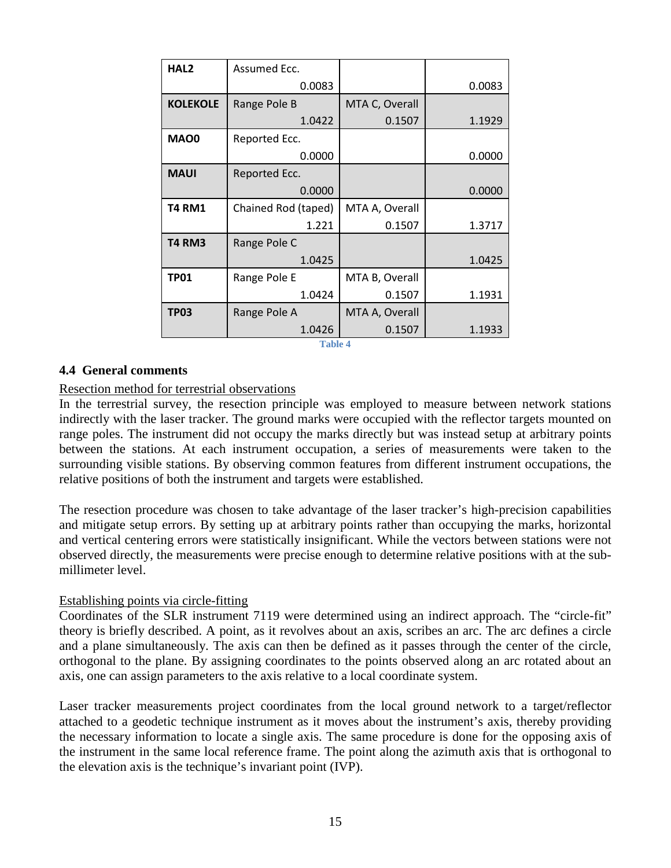| HAL <sub>2</sub> | Assumed Ecc.        |                |        |  |
|------------------|---------------------|----------------|--------|--|
|                  | 0.0083              |                | 0.0083 |  |
| <b>KOLEKOLE</b>  | Range Pole B        | MTA C, Overall |        |  |
|                  | 1.0422              | 0.1507         | 1.1929 |  |
| <b>MAO0</b>      | Reported Ecc.       |                |        |  |
|                  | 0.0000              |                | 0.0000 |  |
| <b>MAUI</b>      | Reported Ecc.       |                |        |  |
|                  | 0.0000              |                | 0.0000 |  |
| <b>T4 RM1</b>    | Chained Rod (taped) | MTA A, Overall |        |  |
|                  | 1.221               | 0.1507         | 1.3717 |  |
| <b>T4 RM3</b>    | Range Pole C        |                |        |  |
|                  | 1.0425              |                | 1.0425 |  |
| <b>TP01</b>      | Range Pole E        | MTA B, Overall |        |  |
|                  | 1.0424              | 0.1507         | 1.1931 |  |
| <b>TP03</b>      | Range Pole A        | MTA A, Overall |        |  |
|                  | 1.0426              | 0.1507         | 1.1933 |  |
| <b>Table 4</b>   |                     |                |        |  |

### <span id="page-14-0"></span>**4.4 General comments**

### Resection method for terrestrial observations

In the terrestrial survey, the resection principle was employed to measure between network stations indirectly with the laser tracker. The ground marks were occupied with the reflector targets mounted on range poles. The instrument did not occupy the marks directly but was instead setup at arbitrary points between the stations. At each instrument occupation, a series of measurements were taken to the surrounding visible stations. By observing common features from different instrument occupations, the relative positions of both the instrument and targets were established.

The resection procedure was chosen to take advantage of the laser tracker's high-precision capabilities and mitigate setup errors. By setting up at arbitrary points rather than occupying the marks, horizontal and vertical centering errors were statistically insignificant. While the vectors between stations were not observed directly, the measurements were precise enough to determine relative positions with at the submillimeter level.

### Establishing points via circle-fitting

Coordinates of the SLR instrument 7119 were determined using an indirect approach. The "circle-fit" theory is briefly described. A point, as it revolves about an axis, scribes an arc. The arc defines a circle and a plane simultaneously. The axis can then be defined as it passes through the center of the circle, orthogonal to the plane. By assigning coordinates to the points observed along an arc rotated about an axis, one can assign parameters to the axis relative to a local coordinate system.

Laser tracker measurements project coordinates from the local ground network to a target/reflector attached to a geodetic technique instrument as it moves about the instrument's axis, thereby providing the necessary information to locate a single axis. The same procedure is done for the opposing axis of the instrument in the same local reference frame. The point along the azimuth axis that is orthogonal to the elevation axis is the technique's invariant point (IVP).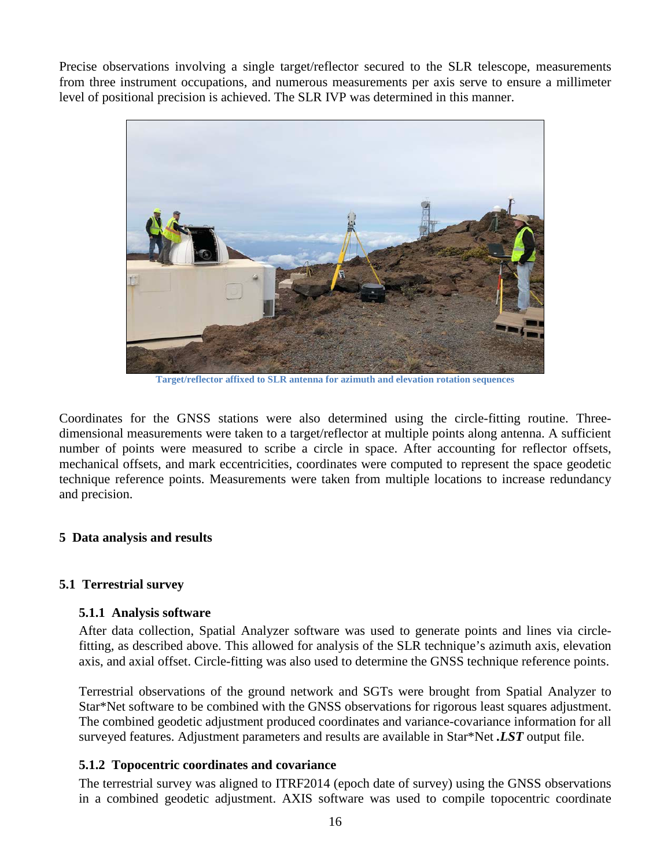Precise observations involving a single target/reflector secured to the SLR telescope, measurements from three instrument occupations, and numerous measurements per axis serve to ensure a millimeter level of positional precision is achieved. The SLR IVP was determined in this manner.



**Target/reflector affixed to SLR antenna for azimuth and elevation rotation sequences**

Coordinates for the GNSS stations were also determined using the circle-fitting routine. Threedimensional measurements were taken to a target/reflector at multiple points along antenna. A sufficient number of points were measured to scribe a circle in space. After accounting for reflector offsets, mechanical offsets, and mark eccentricities, coordinates were computed to represent the space geodetic technique reference points. Measurements were taken from multiple locations to increase redundancy and precision.

## <span id="page-15-0"></span>**5 Data analysis and results**

# <span id="page-15-2"></span><span id="page-15-1"></span>**5.1 Terrestrial survey**

## **5.1.1 Analysis software**

After data collection, Spatial Analyzer software was used to generate points and lines via circlefitting, as described above. This allowed for analysis of the SLR technique's azimuth axis, elevation axis, and axial offset. Circle-fitting was also used to determine the GNSS technique reference points.

Terrestrial observations of the ground network and SGTs were brought from Spatial Analyzer to Star\*Net software to be combined with the GNSS observations for rigorous least squares adjustment. The combined geodetic adjustment produced coordinates and variance-covariance information for all surveyed features. Adjustment parameters and results are available in Star\*Net *.LST* output file.

## <span id="page-15-3"></span>**5.1.2 Topocentric coordinates and covariance**

The terrestrial survey was aligned to ITRF2014 (epoch date of survey) using the GNSS observations in a combined geodetic adjustment. AXIS software was used to compile topocentric coordinate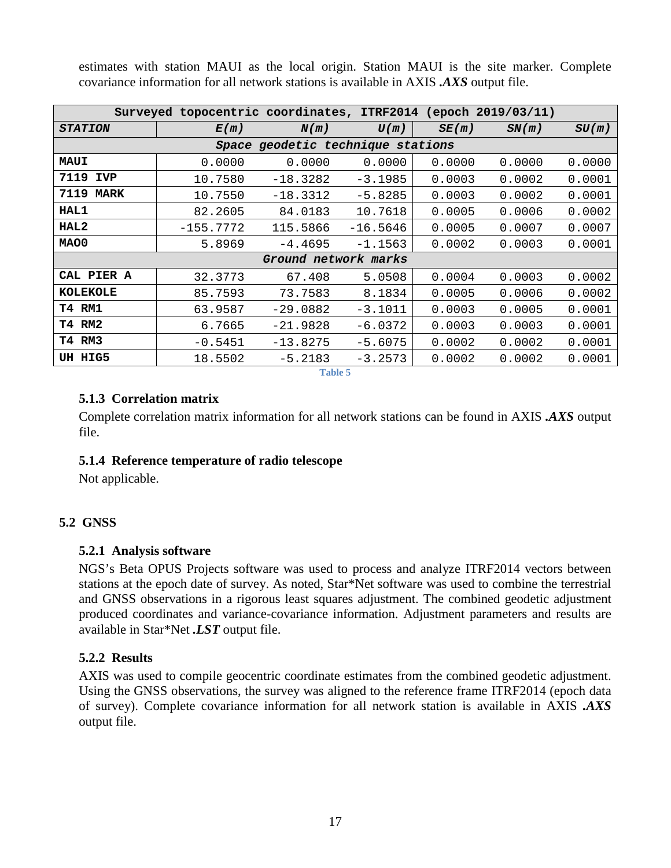| Surveyed topocentric coordinates, ITRF2014 (epoch 2019/03/11) |             |                                   |            |        |        |        |
|---------------------------------------------------------------|-------------|-----------------------------------|------------|--------|--------|--------|
| <b>STATION</b>                                                | E(m)        | N(m)                              | U(m)       | SE(m)  | SN(m)  | SU(m)  |
|                                                               |             | Space geodetic technique stations |            |        |        |        |
| MAUI                                                          | 0.0000      | 0.0000                            | 0.0000     | 0.0000 | 0.0000 | 0.0000 |
| 7119<br><b>IVP</b>                                            | 10.7580     | $-18.3282$                        | $-3.1985$  | 0.0003 | 0.0002 | 0.0001 |
| 7119<br><b>MARK</b>                                           | 10.7550     | $-18.3312$                        | $-5.8285$  | 0.0003 | 0.0002 | 0.0001 |
| HAL1                                                          | 82.2605     | 84.0183                           | 10.7618    | 0.0005 | 0.0006 | 0.0002 |
| HAL <sub>2</sub>                                              | $-155.7772$ | 115.5866                          | $-16.5646$ | 0.0005 | 0.0007 | 0.0007 |
| MAO0                                                          | 5.8969      | $-4.4695$                         | $-1.1563$  | 0.0002 | 0.0003 | 0.0001 |
|                                                               |             | Ground network marks              |            |        |        |        |
| CAL PIER A                                                    | 32.3773     | 67.408                            | 5.0508     | 0.0004 | 0.0003 | 0.0002 |
| <b>KOLEKOLE</b>                                               | 85.7593     | 73.7583                           | 8.1834     | 0.0005 | 0.0006 | 0.0002 |
| T4 RM1                                                        | 63.9587     | $-29.0882$                        | $-3.1011$  | 0.0003 | 0.0005 | 0.0001 |
| T4 RM2                                                        | 6.7665      | $-21.9828$                        | $-6.0372$  | 0.0003 | 0.0003 | 0.0001 |
| T4 RM3                                                        | $-0.5451$   | $-13.8275$                        | $-5.6075$  | 0.0002 | 0.0002 | 0.0001 |
| UH HIG5                                                       | 18.5502     | $-5.2183$<br>-----                | $-3.2573$  | 0.0002 | 0.0002 | 0.0001 |

estimates with station MAUI as the local origin. Station MAUI is the site marker. Complete covariance information for all network stations is available in AXIS *.AXS* output file.

**Table 5**

## <span id="page-16-0"></span>**5.1.3 Correlation matrix**

Complete correlation matrix information for all network stations can be found in AXIS *.AXS* output file.

## <span id="page-16-1"></span>**5.1.4 Reference temperature of radio telescope**

Not applicable.

# <span id="page-16-3"></span><span id="page-16-2"></span>**5.2 GNSS**

## **5.2.1 Analysis software**

NGS's Beta OPUS Projects software was used to process and analyze ITRF2014 vectors between stations at the epoch date of survey. As noted, Star\*Net software was used to combine the terrestrial and GNSS observations in a rigorous least squares adjustment. The combined geodetic adjustment produced coordinates and variance-covariance information. Adjustment parameters and results are available in Star\*Net *.LST* output file.

## <span id="page-16-4"></span>**5.2.2 Results**

AXIS was used to compile geocentric coordinate estimates from the combined geodetic adjustment. Using the GNSS observations, the survey was aligned to the reference frame ITRF2014 (epoch data of survey). Complete covariance information for all network station is available in AXIS *.AXS* output file.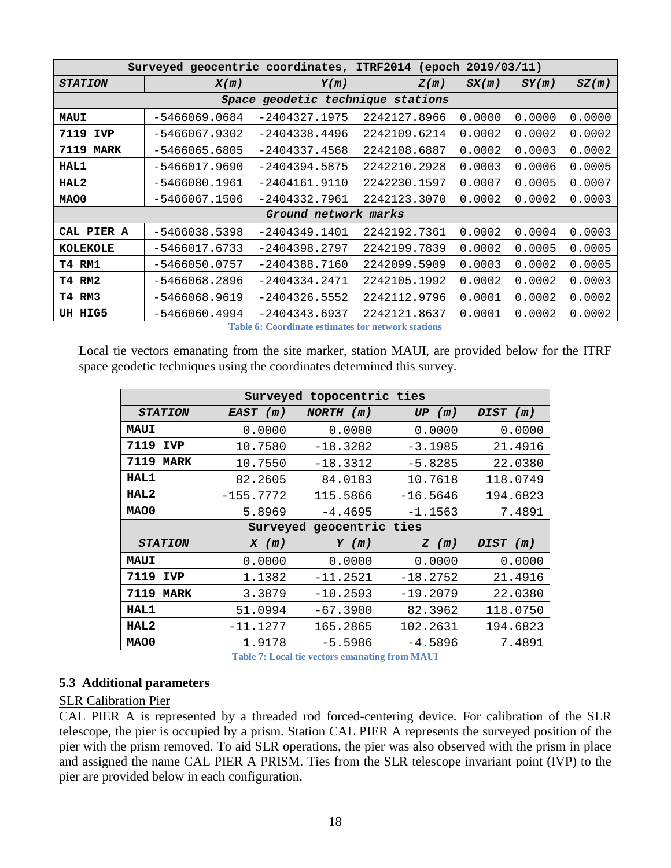|                    | Surveyed geocentric coordinates, ITRF2014 (epoch 2019/03/11) |                                   |              |        |        |        |
|--------------------|--------------------------------------------------------------|-----------------------------------|--------------|--------|--------|--------|
| <b>STATION</b>     | X(m)                                                         | Y(m)                              | Z(m)         | SX(m)  | SY(m)  | SZ(m)  |
|                    |                                                              | Space geodetic technique stations |              |        |        |        |
| <b>MAUI</b>        | $-5466069.0684$                                              | $-2404327.1975$                   | 2242127.8966 | 0.0000 | 0.0000 | 0.0000 |
| 7119<br><b>IVP</b> | $-5466067.9302$                                              | $-2404338.4496$                   | 2242109.6214 | 0.0002 | 0.0002 | 0.0002 |
| <b>7119 MARK</b>   | $-5466065.6805$                                              | $-2404337.4568$                   | 2242108.6887 | 0.0002 | 0.0003 | 0.0002 |
| HAL1               | $-5466017.9690$                                              | $-2404394.5875$                   | 2242210.2928 | 0.0003 | 0.0006 | 0.0005 |
| HAL2               | $-5466080.1961$                                              | $-2404161.9110$                   | 2242230.1597 | 0.0007 | 0.0005 | 0.0007 |
| MAO0               | $-5466067.1506$                                              | $-2404332.7961$                   | 2242123.3070 | 0.0002 | 0.0002 | 0.0003 |
|                    |                                                              | Ground network marks              |              |        |        |        |
| CAL PIER A         | $-5466038.5398$                                              | $-2404349.1401$                   | 2242192.7361 | 0.0002 | 0.0004 | 0.0003 |
| <b>KOLEKOLE</b>    | $-5466017.6733$                                              | $-2404398.2797$                   | 2242199.7839 | 0.0002 | 0.0005 | 0.0005 |
| T4 RM1             | $-5466050.0757$                                              | $-2404388.7160$                   | 2242099.5909 | 0.0003 | 0.0002 | 0.0005 |
| <b>T4 RM2</b>      | $-5466068.2896$                                              | $-2404334.2471$                   | 2242105.1992 | 0.0002 | 0.0002 | 0.0003 |
| T4 RM3             | $-5466068.9619$                                              | $-2404326.5552$                   | 2242112.9796 | 0.0001 | 0.0002 | 0.0002 |
| UH HIG5            | $-5466060.4994$                                              | $-2404343.6937$                   | 2242121.8637 | 0.0001 | 0.0002 | 0.0002 |

**Table 6: Coordinate estimates for network stations**

Local tie vectors emanating from the site marker, station MAUI, are provided below for the ITRF space geodetic techniques using the coordinates determined this survey.

| Surveyed topocentric ties |             |                          |            |          |  |
|---------------------------|-------------|--------------------------|------------|----------|--|
| <b>STATION</b>            | EAST (m)    | NORTH (m)                | UP(m)      | DIST (m) |  |
| <b>MAUI</b>               | 0.0000      | 0.0000                   | 0.0000     | 0.0000   |  |
| 7119<br><b>IVP</b>        | 10.7580     | $-18.3282$               | $-3.1985$  | 21.4916  |  |
| 7119<br><b>MARK</b>       | 10.7550     | $-18.3312$               | $-5.8285$  | 22.0380  |  |
| HAL1                      | 82.2605     | 84.0183                  | 10.7618    | 118.0749 |  |
| HAL <sub>2</sub>          | $-155.7772$ | 115.5866                 | $-16.5646$ | 194.6823 |  |
| MAO0                      | 5.8969      | $-4.4695$                | $-1.1563$  | 7.4891   |  |
|                           |             | Surveyed geocentric ties |            |          |  |
| <b>STATION</b>            | $X$ (m)     | $Y$ (m)                  | $Z$ (m)    | DIST (m) |  |
| <b>MAUI</b>               | 0.0000      | 0.0000                   | 0.0000     | 0.0000   |  |
| 7119<br><b>IVP</b>        | 1.1382      | $-11.2521$               | $-18.2752$ | 21.4916  |  |
| 7119<br><b>MARK</b>       | 3.3879      | $-10.2593$               | $-19.2079$ | 22.0380  |  |
| HAL1                      | 51.0994     | $-67.3900$               | 82.3962    | 118.0750 |  |
| HAL <sub>2</sub>          | $-11.1277$  | 165.2865                 | 102.2631   | 194.6823 |  |
| MAO0                      | 1.9178      | $-5.5986$                | $-4.5896$  | 7.4891   |  |

**Table 7: Local tie vectors emanating from MAUI**

## <span id="page-17-0"></span>**5.3 Additional parameters**

### SLR Calibration Pier

CAL PIER A is represented by a threaded rod forced-centering device. For calibration of the SLR telescope, the pier is occupied by a prism. Station CAL PIER A represents the surveyed position of the pier with the prism removed. To aid SLR operations, the pier was also observed with the prism in place and assigned the name CAL PIER A PRISM. Ties from the SLR telescope invariant point (IVP) to the pier are provided below in each configuration.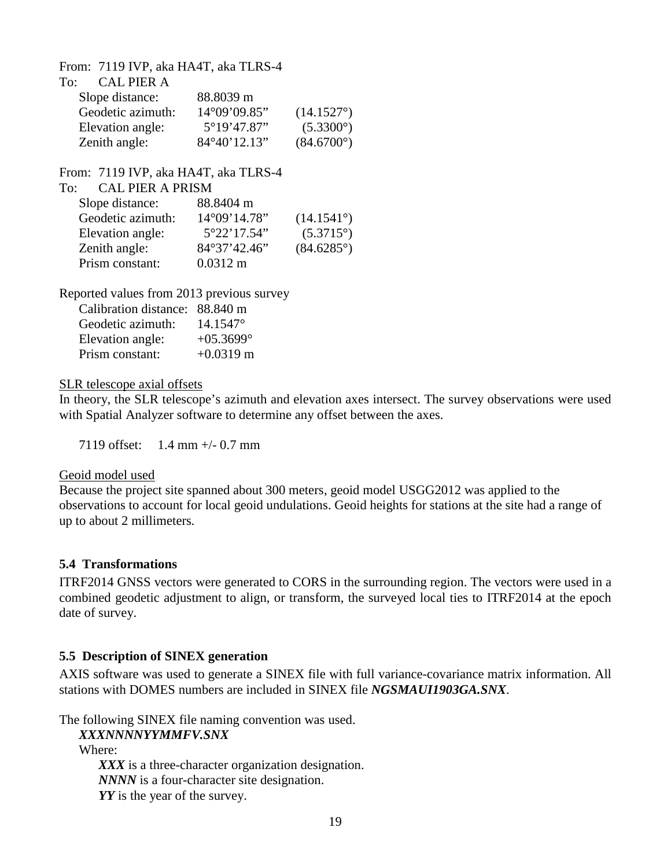From: 7119 IVP, aka HA4T, aka TLRS-4

| CAL PIER A<br>To: |              |                     |
|-------------------|--------------|---------------------|
| Slope distance:   | 88.8039 m    |                     |
| Geodetic azimuth: | 14°09'09.85" | $(14.1527^{\circ})$ |
| Elevation angle:  | 5°19'47.87"  | $(5.3300^{\circ})$  |
| Zenith angle:     | 84°40'12.13" | $(84.6700^{\circ})$ |

From: 7119 IVP, aka HA4T, aka TLRS-4

| <b>CAL PIER A PRISM</b> |                     |
|-------------------------|---------------------|
| 88.8404 m               |                     |
| 14°09'14.78"            | $(14.1541^{\circ})$ |
| 5°22'17.54"             | $(5.3715^{\circ})$  |
| 84°37'42.46"            | $(84.6285^{\circ})$ |
| $0.0312 \text{ m}$      |                     |
|                         |                     |

Reported values from 2013 previous survey

| Calibration distance: 88.840 m |              |
|--------------------------------|--------------|
| Geodetic azimuth:              | 14.1547°     |
| Elevation angle:               | $+05.3699$ ° |
| Prism constant:                | $+0.0319$ m  |

### SLR telescope axial offsets

In theory, the SLR telescope's azimuth and elevation axes intersect. The survey observations were used with Spatial Analyzer software to determine any offset between the axes.

7119 offset: 1.4 mm +/- 0.7 mm

### <span id="page-18-0"></span>Geoid model used

Because the project site spanned about 300 meters, geoid model USGG2012 was applied to the observations to account for local geoid undulations. Geoid heights for stations at the site had a range of up to about 2 millimeters.

## **5.4 Transformations**

<span id="page-18-1"></span>ITRF2014 GNSS vectors were generated to CORS in the surrounding region. The vectors were used in a combined geodetic adjustment to align, or transform, the surveyed local ties to ITRF2014 at the epoch date of survey.

## **5.5 Description of SINEX generation**

AXIS software was used to generate a SINEX file with full variance-covariance matrix information. All stations with DOMES numbers are included in SINEX file *NGSMAUI1903GA.SNX*.

The following SINEX file naming convention was used.

*XXXNNNNYYMMFV.SNX* Where: *XXX* is a three-character organization designation. *NNNN* is a four-character site designation. *YY* is the year of the survey.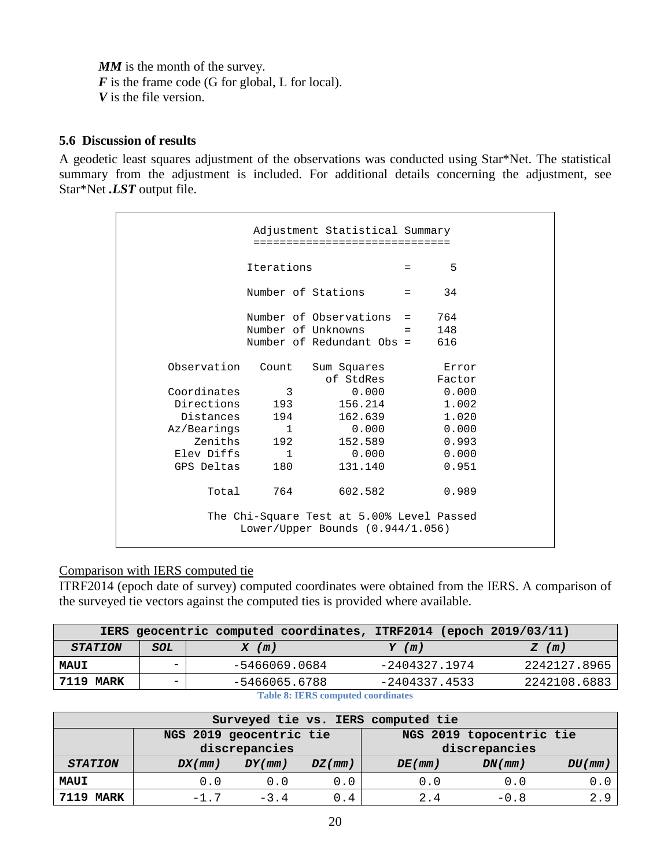**MM** is the month of the survey. *F* is the frame code (G for global, L for local). *V* is the file version.

## <span id="page-19-0"></span>**5.6 Discussion of results**

A geodetic least squares adjustment of the observations was conducted using Star\*Net. The statistical summary from the adjustment is included. For additional details concerning the adjustment, see Star\*Net *.LST* output file.

| Adjustment Statistical Summary |                    |                                                                               |                           |                 |  |
|--------------------------------|--------------------|-------------------------------------------------------------------------------|---------------------------|-----------------|--|
|                                | Iterations         |                                                                               | $=$                       | 5               |  |
|                                | Number of Stations |                                                                               | $\mathbf{r} = \mathbf{r}$ | 34              |  |
|                                |                    | Number of Observations $=$ 764                                                |                           |                 |  |
|                                |                    | Number of Unknowns $= 148$<br>Number of Redundant Obs = $616$                 |                           |                 |  |
| Observation                    | Count              | Sum Squares<br>of StdRes                                                      |                           | Error<br>Factor |  |
| Coordinates                    | 3                  | 0.000                                                                         |                           | 0.000           |  |
| Directions                     | 193                | 156.214                                                                       |                           | 1.002           |  |
| Distances                      | 194                | 162.639                                                                       |                           | 1.020           |  |
| Az/Bearings                    | 1                  | 0.000                                                                         |                           | 0.000           |  |
| Zeniths                        | 192                | 152.589                                                                       |                           | 0.993           |  |
| Elev Diffs                     | $\mathbf{1}$       | 0.000                                                                         |                           | 0.000           |  |
| GPS Deltas                     | 180                | 131.140                                                                       |                           | 0.951           |  |
| Total                          | 764                | 602.582                                                                       |                           | 0.989           |  |
|                                |                    | The Chi-Square Test at 5.00% Level Passed<br>Lower/Upper Bounds (0.944/1.056) |                           |                 |  |

### Comparison with IERS computed tie

ITRF2014 (epoch date of survey) computed coordinates were obtained from the IERS. A comparison of the surveyed tie vectors against the computed ties is provided where available.

|                                           |                          | IERS geocentric computed coordinates, ITRF2014 (epoch 2019/03/11) |                 |              |  |
|-------------------------------------------|--------------------------|-------------------------------------------------------------------|-----------------|--------------|--|
| <b>STATION</b>                            | SOL                      | $X$ (m)                                                           | $Y$ (m)         | Z(m)         |  |
| <b>MAUI</b>                               | $\overline{\phantom{0}}$ | -5466069.0684                                                     | -2404327.1974   | 2242127.8965 |  |
| 7119 MARK                                 |                          | -5466065.6788                                                     | $-2404337.4533$ | 2242108.6883 |  |
| <b>Table 8: IERS computed coordinates</b> |                          |                                                                   |                 |              |  |

|                  |        |                         |               | Surveyed tie vs. IERS computed tie |                          |        |
|------------------|--------|-------------------------|---------------|------------------------------------|--------------------------|--------|
|                  |        | NGS 2019 geocentric tie |               |                                    | NGS 2019 topocentric tie |        |
|                  |        | discrepancies           |               |                                    | discrepancies            |        |
| <b>STATION</b>   | DX(mm) | DY(mm)                  | $DZ$ ( $mm$ ) | DE(mm)                             | $DN($ mm $)$             | DU(mm) |
| <b>MAUI</b>      | 0.0    | 0.0                     | 0.0           | 0.0                                | 0.0                      | υ.     |
| <b>7119 MARK</b> | $-1.7$ | $-3.4$                  | 0.4           | 2.4                                | $-0.8$                   | 2.9    |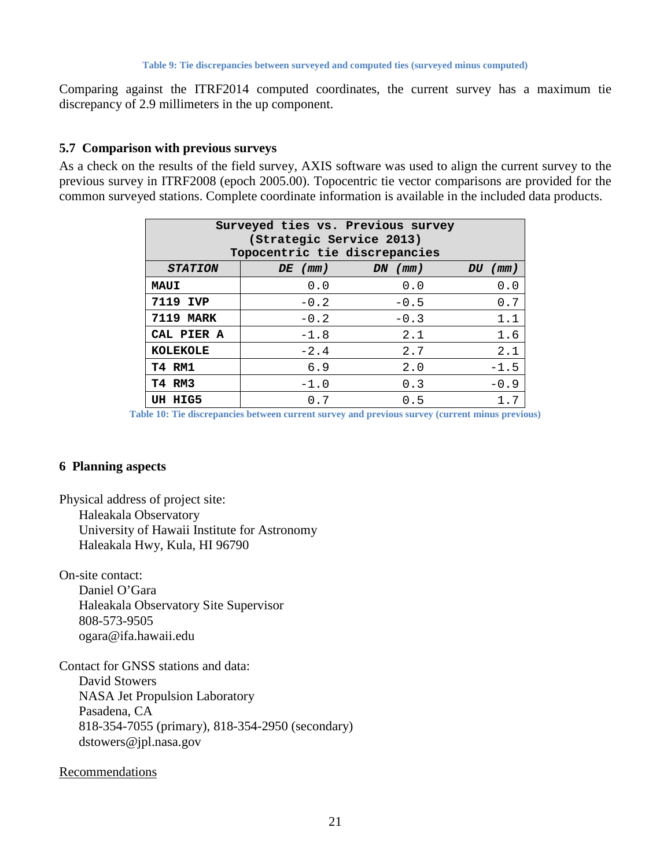Comparing against the ITRF2014 computed coordinates, the current survey has a maximum tie discrepancy of 2.9 millimeters in the up component.

### <span id="page-20-0"></span>**5.7 Comparison with previous surveys**

As a check on the results of the field survey, AXIS software was used to align the current survey to the previous survey in ITRF2008 (epoch 2005.00). Topocentric tie vector comparisons are provided for the common surveyed stations. Complete coordinate information is available in the included data products.

| Surveyed ties vs. Previous survey<br>(Strategic Service 2013)<br>Topocentric tie discrepancies |                                   |        |        |  |  |  |  |
|------------------------------------------------------------------------------------------------|-----------------------------------|--------|--------|--|--|--|--|
| <b>STATION</b>                                                                                 | $DE$ (mm)<br>$DN$ (mm)<br>DU (mm) |        |        |  |  |  |  |
| <b>MAUI</b>                                                                                    | 0.0                               | 0.0    | 0.0    |  |  |  |  |
| 7119 IVP                                                                                       | $-0.2$                            | $-0.5$ | 0.7    |  |  |  |  |
| <b>7119 MARK</b>                                                                               | $-0.2$                            | $-0.3$ | 1.1    |  |  |  |  |
| CAL PIER A                                                                                     | $-1.8$                            | 2.1    | 1.6    |  |  |  |  |
| <b>KOLEKOLE</b>                                                                                | $-2.4$                            | 2.7    | 2.1    |  |  |  |  |
| <b>T4 RM1</b>                                                                                  | 6.9                               | 2.0    | $-1.5$ |  |  |  |  |
| T4 RM3                                                                                         | $-1.0$                            | 0.3    | $-0.9$ |  |  |  |  |
| UH HIG5                                                                                        | 0.7                               | 0.5    | 1.7    |  |  |  |  |

<span id="page-20-1"></span>**Table 10: Tie discrepancies between current survey and previous survey (current minus previous)**

### **6 Planning aspects**

Physical address of project site: Haleakala Observatory University of Hawaii Institute for Astronomy Haleakala Hwy, Kula, HI 96790

On-site contact:

Daniel O'Gara Haleakala Observatory Site Supervisor 808-573-9505 ogara@ifa.hawaii.edu

Contact for GNSS stations and data: David Stowers NASA Jet Propulsion Laboratory Pasadena, CA 818-354-7055 (primary), 818-354-2950 (secondary) dstowers@jpl.nasa.gov

### Recommendations